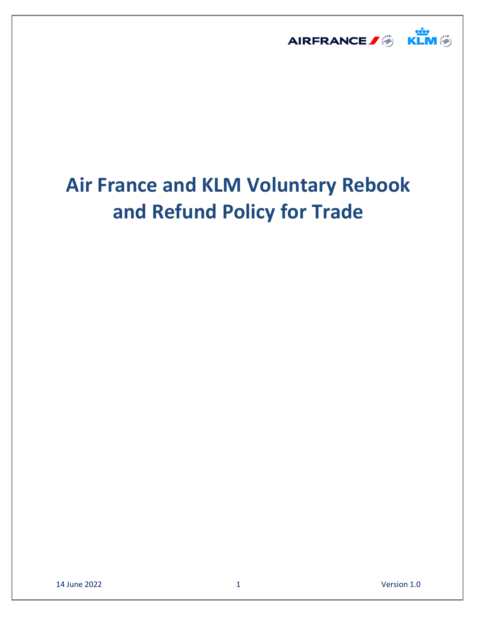

# **Air France and KLM Voluntary Rebook and Refund Policy for Trade**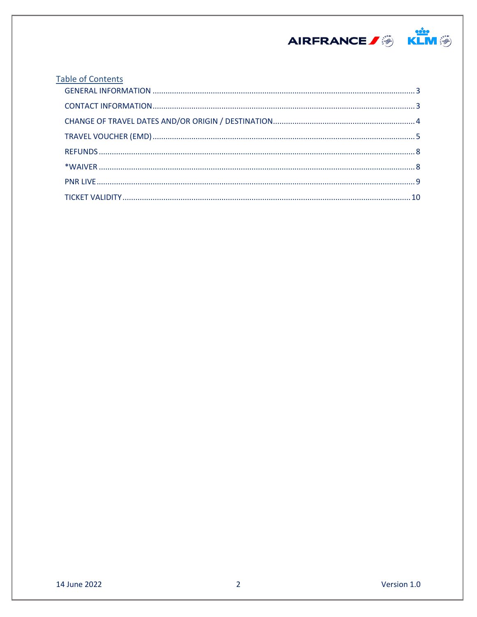

| <b>Table of Contents</b> |  |  |
|--------------------------|--|--|
|                          |  |  |
|                          |  |  |
|                          |  |  |
|                          |  |  |
|                          |  |  |
|                          |  |  |
|                          |  |  |
|                          |  |  |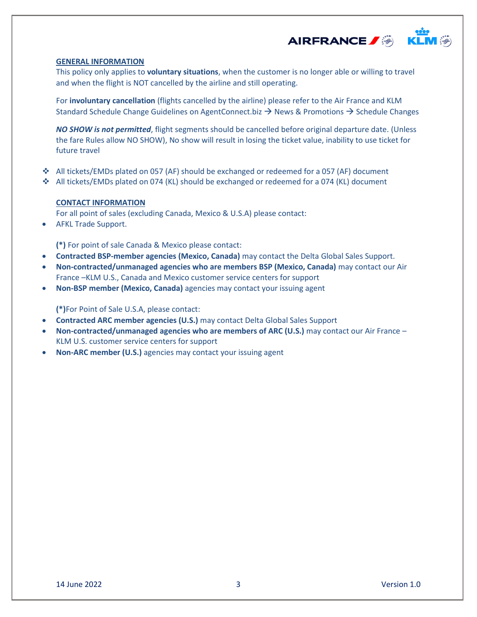

#### <span id="page-2-0"></span>**GENERAL INFORMATION**

This policy only applies to **voluntary situations**, when the customer is no longer able or willing to travel and when the flight is NOT cancelled by the airline and still operating.

For **involuntary cancellation** (flights cancelled by the airline) please refer to the Air France and KLM Standard Schedule Change Guidelines on AgentConnect.biz  $\rightarrow$  News & Promotions  $\rightarrow$  Schedule Changes

*NO SHOW is not permitted*, flight segments should be cancelled before original departure date. (Unless the fare Rules allow NO SHOW), No show will result in losing the ticket value, inability to use ticket for future travel

- All tickets/EMDs plated on 057 (AF) should be exchanged or redeemed for a 057 (AF) document
- All tickets/EMDs plated on 074 (KL) should be exchanged or redeemed for a 074 (KL) document

## <span id="page-2-1"></span>**CONTACT INFORMATION**

For all point of sales (excluding Canada, Mexico & U.S.A) please contact:

AFKL Trade Support.

**(\*)** For point of sale Canada & Mexico please contact:

- **Contracted BSP-member agencies (Mexico, Canada)** may contact the Delta Global Sales Support.
- **Non-contracted/unmanaged agencies who are members BSP (Mexico, Canada)** may contact our Air France –KLM U.S., Canada and Mexico customer service centers for support
- **Non-BSP member (Mexico, Canada)** agencies may contact your issuing agent

**(\*)**For Point of Sale U.S.A, please contact:

- **Contracted ARC member agencies (U.S.)** may contact Delta Global Sales Support
- **Non-contracted/unmanaged agencies who are members of ARC (U.S.)** may contact our Air France KLM U.S. customer service centers for support
- **Non-ARC member (U.S.)** agencies may contact your issuing agent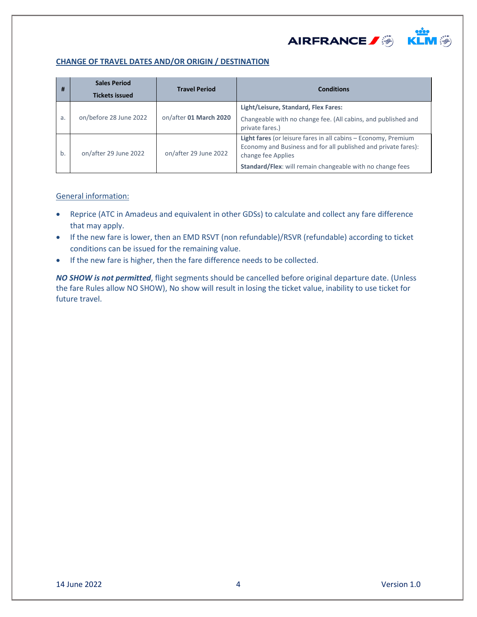

# <span id="page-3-0"></span>**CHANGE OF TRAVEL DATES AND/OR ORIGIN / DESTINATION**

| #  | <b>Sales Period</b><br><b>Tickets issued</b> | <b>Travel Period</b>   | <b>Conditions</b>                                                                                                                                                                                                   |
|----|----------------------------------------------|------------------------|---------------------------------------------------------------------------------------------------------------------------------------------------------------------------------------------------------------------|
| a. | on/before 28 June 2022                       | on/after 01 March 2020 | Light/Leisure, Standard, Flex Fares:<br>Changeable with no change fee. (All cabins, and published and<br>private fares.)                                                                                            |
| b. | on/after 29 June 2022                        | on/after 29 June 2022  | Light fares (or leisure fares in all cabins - Economy, Premium<br>Economy and Business and for all published and private fares):<br>change fee Applies<br>Standard/Flex: will remain changeable with no change fees |

## General information:

- Reprice (ATC in Amadeus and equivalent in other GDSs) to calculate and collect any fare difference that may apply.
- If the new fare is lower, then an EMD RSVT (non refundable)/RSVR (refundable) according to ticket conditions can be issued for the remaining value.
- If the new fare is higher, then the fare difference needs to be collected.

*NO SHOW is not permitted*, flight segments should be cancelled before original departure date. (Unless the fare Rules allow NO SHOW), No show will result in losing the ticket value, inability to use ticket for future travel.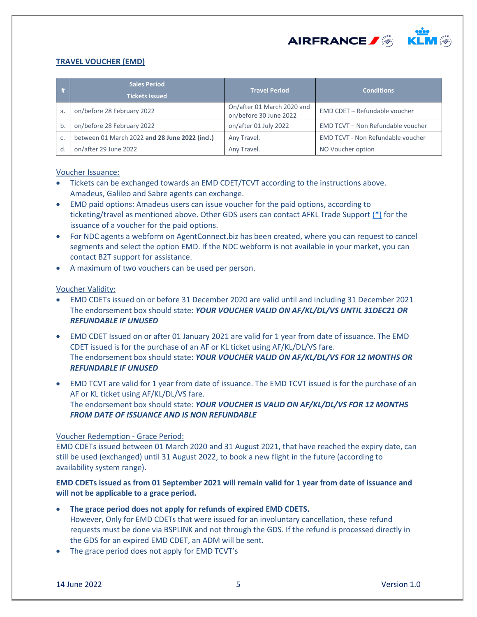

# <span id="page-4-0"></span>**TRAVEL VOUCHER (EMD)**

| -# | <b>Sales Period</b><br><b>Tickets issued</b>   | <b>Travel Period</b>                                 | <b>Conditions</b>                        |
|----|------------------------------------------------|------------------------------------------------------|------------------------------------------|
| a. | on/before 28 February 2022                     | On/after 01 March 2020 and<br>on/before 30 June 2022 | EMD CDET - Refundable voucher            |
| b  | on/before 28 February 2022                     | on/after 01 July 2022                                | EMD TCVT - Non Refundable voucher        |
| C. | between 01 March 2022 and 28 June 2022 (incl.) | Any Travel.                                          | <b>EMD TCVT - Non Refundable voucher</b> |
|    | on/after 29 June 2022                          | Any Travel.                                          | NO Voucher option                        |

## Voucher Issuance:

- Tickets can be exchanged towards an EMD CDET/TCVT according to the instructions above. Amadeus, Galileo and Sabre agents can exchange.
- EMD paid options: Amadeus users can issue voucher for the paid options, according to ticketing/travel as mentioned above. Other GDS users can contact AFKL Trade Support [\(\\*\)](#page-2-1) for the issuance of a voucher for the paid options.
- For NDC agents a webform on AgentConnect.biz has been created, where you can request to cancel segments and select the option EMD. If the NDC webform is not available in your market, you can contact B2T support for assistance.
- A maximum of two vouchers can be used per person.

## Voucher Validity:

- EMD CDETs issued on or before 31 December 2020 are valid until and including 31 December 2021 The endorsement box should state: *YOUR VOUCHER VALID ON AF/KL/DL/VS UNTIL 31DEC21 OR REFUNDABLE IF UNUSED*
- EMD CDET Issued on or after 01 January 2021 are valid for 1 year from date of issuance. The EMD CDET issued is for the purchase of an AF or KL ticket using AF/KL/DL/VS fare. The endorsement box should state: *YOUR VOUCHER VALID ON AF/KL/DL/VS FOR 12 MONTHS OR REFUNDABLE IF UNUSED*
- EMD TCVT are valid for 1 year from date of issuance. The EMD TCVT issued is for the purchase of an AF or KL ticket using AF/KL/DL/VS fare. The endorsement box should state: *YOUR VOUCHER IS VALID ON AF/KL/DL/VS FOR 12 MONTHS FROM DATE OF ISSUANCE AND IS NON REFUNDABLE*

#### Voucher Redemption - Grace Period:

EMD CDETs issued between 01 March 2020 and 31 August 2021, that have reached the expiry date, can still be used (exchanged) until 31 August 2022, to book a new flight in the future (according to availability system range).

# **EMD CDETs issued as from 01 September 2021 will remain valid for 1 year from date of issuance and will not be applicable to a grace period.**

- **The grace period does not apply for refunds of expired EMD CDETS.**  However, Only for EMD CDETs that were issued for an involuntary cancellation, these refund requests must be done via BSPLINK and not through the GDS. If the refund is processed directly in the GDS for an expired EMD CDET, an ADM will be sent.
- The grace period does not apply for EMD TCVT's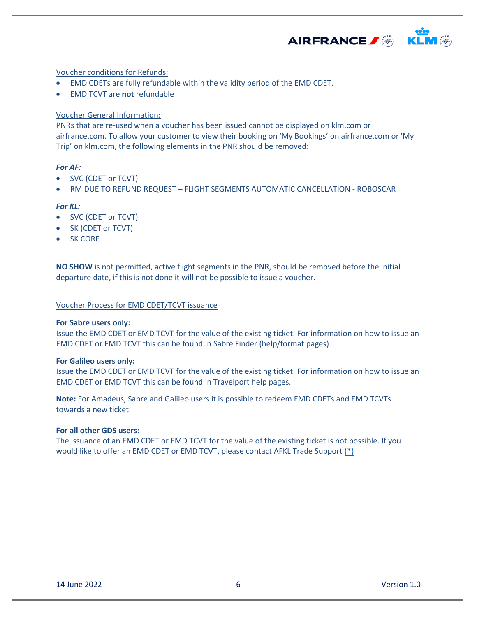

## Voucher conditions for Refunds:

- EMD CDETs are fully refundable within the validity period of the EMD CDET.
- EMD TCVT are **not** refundable

## Voucher General Information:

PNRs that are re-used when a voucher has been issued cannot be displayed on klm.com or airfrance.com. To allow your customer to view their booking on 'My Bookings' on airfrance.com or 'My Trip' on klm.com, the following elements in the PNR should be removed:

## *For AF:*

- SVC (CDET or TCVT)
- RM DUE TO REFUND REQUEST FLIGHT SEGMENTS AUTOMATIC CANCELLATION ROBOSCAR

#### *For KL:*

- SVC (CDET or TCVT)
- SK (CDET or TCVT)
- SK CORF

**NO SHOW** is not permitted, active flight segments in the PNR, should be removed before the initial departure date, if this is not done it will not be possible to issue a voucher.

## Voucher Process for EMD CDET/TCVT issuance

#### **For Sabre users only:**

Issue the EMD CDET or EMD TCVT for the value of the existing ticket. For information on how to issue an EMD CDET or EMD TCVT this can be found in Sabre Finder (help/format pages).

#### **For Galileo users only:**

Issue the EMD CDET or EMD TCVT for the value of the existing ticket. For information on how to issue an EMD CDET or EMD TCVT this can be found in Travelport help pages.

**Note:** For Amadeus, Sabre and Galileo users it is possible to redeem EMD CDETs and EMD TCVTs towards a new ticket.

## **For all other GDS users:**

The issuance of an EMD CDET or EMD TCVT for the value of the existing ticket is not possible. If you would like to offer an EMD CDET or EMD TCVT, please contact AFKL Trade Support [\(\\*\)](#page-2-1)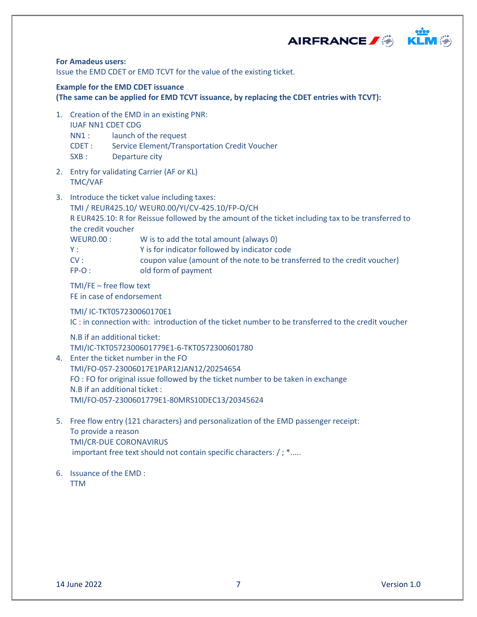



# **For Amadeus users:**

Issue the EMD CDET or EMD TCVT for the value of the existing ticket.

# **Example for the EMD CDET issuance**

**(The same can be applied for EMD TCVT issuance, by replacing the CDET entries with TCVT):**

- 1. Creation of the EMD in an existing PNR: IUAF NN1 CDET CDG
	- NN1 : launch of the request
	- CDET : Service Element/Transportation Credit Voucher
	- SXB : Departure city
- 2. Entry for validating Carrier (AF or KL) TMC/VAF
- 3. Introduce the ticket value including taxes:

TMI / REUR425.10/ WEUR0.00/YI/CV-425.10/FP-O/CH

R EUR425.10: R for Reissue followed by the amount of the ticket including tax to be transferred to the credit voucher

WEUR0.00 : W is to add the total amount (always 0)

- Y : Y is for indicator followed by indicator code
- CV : coupon value (amount of the note to be transferred to the credit voucher) FP-O : old form of payment

TMI/FE – free flow text

FE in case of endorsement

TMI/ IC-TKT057230060170E1

IC : in connection with: introduction of the ticket number to be transferred to the credit voucher

N.B if an additional ticket:

TMI/IC-TKT0572300601779E1-6-TKT0572300601780

- 4. Enter the ticket number in the FO TMI/FO-057-23006017E1PAR12JAN12/20254654 FO : FO for original issue followed by the ticket number to be taken in exchange N.B if an additional ticket : TMI/FO-057-2300601779E1-80MRS10DEC13/20345624
- 5. Free flow entry (121 characters) and personalization of the EMD passenger receipt: To provide a reason TMI/CR-DUE CORONAVIRUS important free text should not contain specific characters: / ; \*.....
- 6. Issuance of the EMD : TTM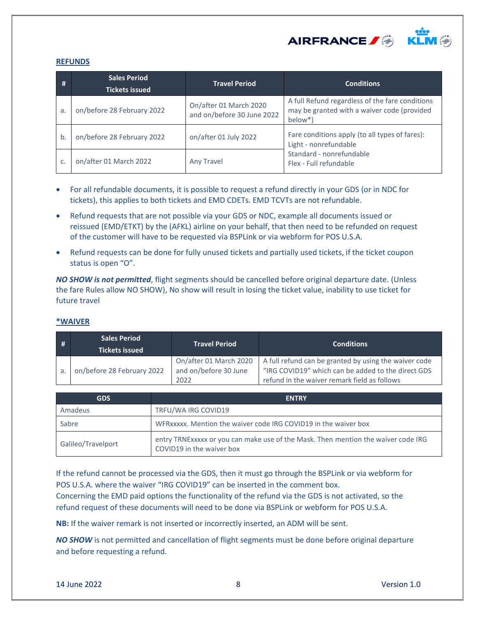

#### <span id="page-7-0"></span>**REFUNDS**

| - # | <b>Sales Period</b><br><b>Tickets issued</b> | <b>Travel Period</b>                                 | <b>Conditions</b>                                                                                         |  |
|-----|----------------------------------------------|------------------------------------------------------|-----------------------------------------------------------------------------------------------------------|--|
| a.  | on/before 28 February 2022                   | On/after 01 March 2020<br>and on/before 30 June 2022 | A full Refund regardless of the fare conditions<br>may be granted with a waiver code (provided<br>below*) |  |
| b   | on/before 28 February 2022                   | on/after 01 July 2022                                | Fare conditions apply (to all types of fares):<br>Light - nonrefundable                                   |  |
| C.  | on/after 01 March 2022                       | Any Travel                                           | Standard - nonrefundable<br>Flex - Full refundable                                                        |  |

- For all refundable documents, it is possible to request a refund directly in your GDS (or in NDC for tickets), this applies to both tickets and EMD CDETs. EMD TCVTs are not refundable.
- Refund requests that are not possible via your GDS or NDC, example all documents issued or reissued (EMD/ETKT) by the (AFKL) airline on your behalf, that then need to be refunded on request of the customer will have to be requested via BSPLink or via webform for POS U.S.A.
- Refund requests can be done for fully unused tickets and partially used tickets, if the ticket coupon status is open "O".

*NO SHOW is not permitted*, flight segments should be cancelled before original departure date. (Unless the fare Rules allow NO SHOW), No show will result in losing the ticket value, inability to use ticket for future travel

## <span id="page-7-1"></span>**\*WAIVER**

| #  | <b>Sales Period</b><br><b>Tickets issued</b> | <b>Travel Period</b>                                    | <b>Conditions</b>                                                                                                                                           |
|----|----------------------------------------------|---------------------------------------------------------|-------------------------------------------------------------------------------------------------------------------------------------------------------------|
| a. | on/before 28 February 2022                   | On/after 01 March 2020<br>and on/before 30 June<br>2022 | A full refund can be granted by using the waiver code<br>"IRG COVID19" which can be added to the direct GDS<br>refund in the waiver remark field as follows |

| <b>GDS</b>         | <b>ENTRY</b>                                                                                                   |
|--------------------|----------------------------------------------------------------------------------------------------------------|
| Amadeus            | TRFU/WA IRG COVID19                                                                                            |
| Sabre              | WFRxxxxx. Mention the waiver code IRG COVID19 in the waiver box                                                |
| Galileo/Travelport | entry TRNExxxxx or you can make use of the Mask. Then mention the waiver code IRG<br>COVID19 in the waiver box |

If the refund cannot be processed via the GDS, then it must go through the BSPLink or via webform for POS U.S.A. where the waiver "IRG COVID19" can be inserted in the comment box. Concerning the EMD paid options the functionality of the refund via the GDS is not activated, so the refund request of these documents will need to be done via BSPLink or webform for POS U.S.A.

**NB:** If the waiver remark is not inserted or incorrectly inserted, an ADM will be sent.

*NO SHOW* is not permitted and cancellation of flight segments must be done before original departure and before requesting a refund.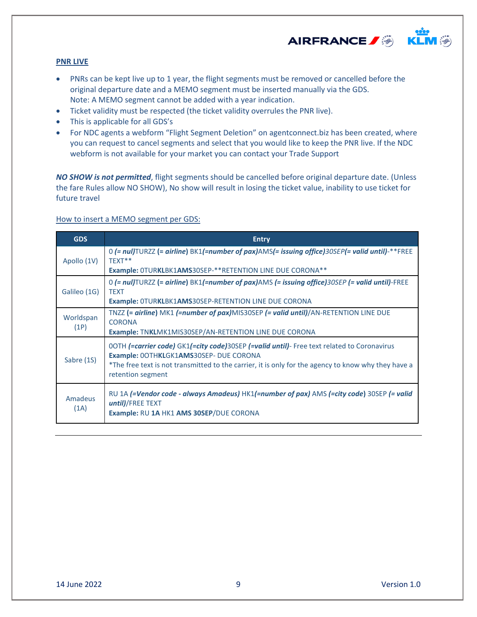

## <span id="page-8-0"></span>**PNR LIVE**

- PNRs can be kept live up to 1 year, the flight segments must be removed or cancelled before the original departure date and a MEMO segment must be inserted manually via the GDS. Note: A MEMO segment cannot be added with a year indication.
- Ticket validity must be respected (the ticket validity overrules the PNR live).
- This is applicable for all GDS's
- For NDC agents a webform "Flight Segment Deletion" on agentconnect.biz has been created, where you can request to cancel segments and select that you would like to keep the PNR live. If the NDC webform is not available for your market you can contact your Trade Support

*NO SHOW is not permitted*, flight segments should be cancelled before original departure date. (Unless the fare Rules allow NO SHOW), No show will result in losing the ticket value, inability to use ticket for future travel

## How to insert a MEMO segment per GDS:

| <b>GDS</b>        | <b>Entry</b>                                                                                                                                                                                                                                                     |  |
|-------------------|------------------------------------------------------------------------------------------------------------------------------------------------------------------------------------------------------------------------------------------------------------------|--|
| Apollo (1V)       | 0 $(= \text{null}$ TURZZ $(= \text{airline})$ BK1 $(= \text{number of} \text{pax})$ AMS $(= \text{issuing} \text{office})$ 30SEP $(= \text{valid} \text{until})$ -**FREE<br>TEXT**<br><b>Example: OTURKLBK1AMS30SEP-**RETENTION LINE DUE CORONA**</b>            |  |
| Galileo (1G)      | 0 (= nul)TURZZ (= airline) BK1(=number of pax)AMS (= issuing office)30SEP (= valid until)-FREE<br><b>TEXT</b><br>Example: OTURKLBK1AMS30SEP-RETENTION LINE DUE CORONA                                                                                            |  |
| Worldspan<br>(1P) | TNZZ (= airline) MK1 (=number of pax)MIS30SEP (= valid until)/AN-RETENTION LINE DUE<br><b>CORONA</b><br><b>Example: TNKLMK1MIS30SEP/AN-RETENTION LINE DUE CORONA</b>                                                                                             |  |
| Sabre (1S)        | OOTH (=carrier code) GK1(=city code)30SEP (=valid until)- Free text related to Coronavirus<br>Example: 0OTHKLGK1AMS30SEP- DUE CORONA<br>*The free text is not transmitted to the carrier, it is only for the agency to know why they have a<br>retention segment |  |
| Amadeus<br>(1A)   | RU 1A (=Vendor code - always Amadeus) HK1(=number of pax) AMS (=city code) 30SEP (= valid<br>until)/FREE TEXT<br>Example: RU 1A HK1 AMS 30SEP/DUE CORONA                                                                                                         |  |